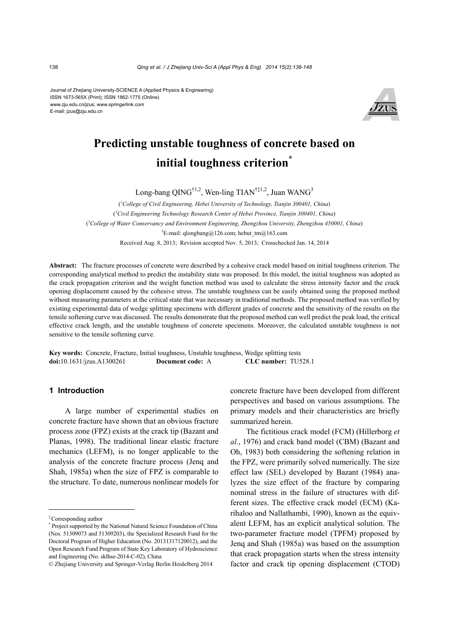Journal of Zhejiang University-SCIENCE A (Applied Physics & Engineering) ISSN 1673-565X (Print); ISSN 1862-1775 (Online) www.zju.edu.cn/jzus; www.springerlink.com E-mail: jzus@zju.edu.cn



# **Predicting unstable toughness of concrete based on initial toughness criterion\***

Long-bang QING<sup>†1,2</sup>, Wen-ling TIAN<sup>†‡1,2</sup>, Juan WANG<sup>3</sup>

( *1 College of Civil Engineering, Hebei University of Technology, Tianjin 300401, China*) ( *2 Civil Engineering Technology Research Center of Hebei Province, Tianjin 300401, China*) ( *3 College of Water Conservancy and Environment Engineering, Zhengzhou University, Zhengzhou 450001, China*) † E-mail: qlongbang@126.com; hebut\_tm@163.com Received Aug. 8, 2013; Revision accepted Nov. 5, 2013; Crosschecked Jan. 14, 2014

**Abstract:** The fracture processes of concrete were described by a cohesive crack model based on initial toughness criterion. The corresponding analytical method to predict the instability state was proposed. In this model, the initial toughness was adopted as the crack propagation criterion and the weight function method was used to calculate the stress intensity factor and the crack opening displacement caused by the cohesive stress. The unstable toughness can be easily obtained using the proposed method without measuring parameters at the critical state that was necessary in traditional methods. The proposed method was verified by existing experimental data of wedge splitting specimens with different grades of concrete and the sensitivity of the results on the tensile softening curve was discussed. The results demonstrate that the proposed method can well predict the peak load, the critical effective crack length, and the unstable toughness of concrete specimens. Moreover, the calculated unstable toughness is not sensitive to the tensile softening curve.

**Key words:** Concrete, Fracture, Initial toughness, Unstable toughness, Wedge splitting tests **doi:**10.1631/jzus.A1300261 **Document code:** A **CLC number:** TU528.1

## **1 Introduction**

A large number of experimental studies on concrete fracture have shown that an obvious fracture process zone (FPZ) exists at the crack tip (Bazant and Planas, 1998). The traditional linear elastic fracture mechanics (LEFM), is no longer applicable to the analysis of the concrete fracture process (Jenq and Shah, 1985a) when the size of FPZ is comparable to the structure. To date, numerous nonlinear models for

concrete fracture have been developed from different perspectives and based on various assumptions. The primary models and their characteristics are briefly summarized herein.

The fictitious crack model (FCM) (Hillerborg *et al.*, 1976) and crack band model (CBM) (Bazant and Oh, 1983) both considering the softening relation in the FPZ, were primarily solved numerically. The size effect law (SEL) developed by Bazant (1984) analyzes the size effect of the fracture by comparing nominal stress in the failure of structures with different sizes. The effective crack model (ECM) (Karihaloo and Nallathambi, 1990), known as the equivalent LEFM, has an explicit analytical solution. The two-parameter fracture model (TPFM) proposed by Jenq and Shah (1985a) was based on the assumption that crack propagation starts when the stress intensity factor and crack tip opening displacement (CTOD)

<sup>‡</sup>Corresponding author

<sup>\*</sup> Project supported by the National Natural Science Foundation of China (Nos. 51309073 and 51309203), the Specialized Research Fund for the Doctoral Program of Higher Education (No. 20131317120012), and the Open Research Fund Program of State Key Laboratory of Hydroscience and Engineering (No. sklhse-2014-C-02), China

<sup>©</sup> Zhejiang University and Springer-Verlag Berlin Heidelberg 2014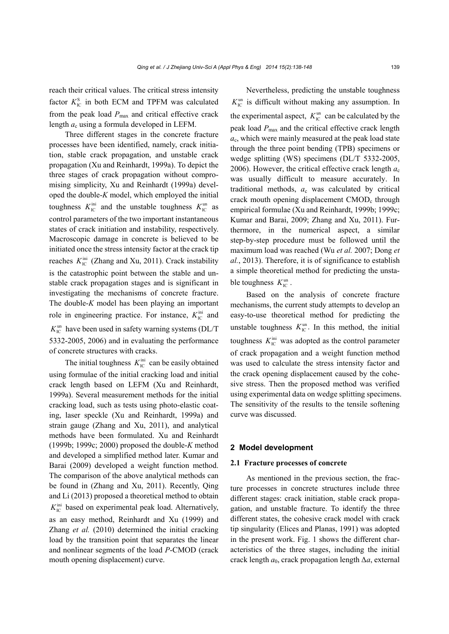reach their critical values. The critical stress intensity factor  $K_{\text{IC}}^{\text{S}}$  in both ECM and TPFM was calculated from the peak load  $P_{\text{max}}$  and critical effective crack length *a*c using a formula developed in LEFM.

Three different stages in the concrete fracture processes have been identified, namely, crack initiation, stable crack propagation, and unstable crack propagation (Xu and Reinhardt, 1999a). To depict the three stages of crack propagation without compromising simplicity, Xu and Reinhardt (1999a) developed the double-*K* model, which employed the initial toughness  $K_{\text{IC}}^{\text{ini}}$  and the unstable toughness  $K_{\text{IC}}^{\text{un}}$  as control parameters of the two important instantaneous states of crack initiation and instability, respectively. Macroscopic damage in concrete is believed to be initiated once the stress intensity factor at the crack tip reaches  $K_{\text{IC}}^{\text{ini}}$  (Zhang and Xu, 2011). Crack instability is the catastrophic point between the stable and unstable crack propagation stages and is significant in investigating the mechanisms of concrete fracture. The double-*K* model has been playing an important role in engineering practice. For instance,  $K_{\text{IC}}^{\text{ini}}$  and  $K_{\text{IC}}^{\text{un}}$  have been used in safety warning systems (DL/T) 5332-2005, 2006) and in evaluating the performance of concrete structures with cracks.

The initial toughness  $K_{\text{IC}}^{\text{ini}}$  can be easily obtained using formulae of the initial cracking load and initial crack length based on LEFM (Xu and Reinhardt, 1999a). Several measurement methods for the initial cracking load, such as tests using photo-elastic coating, laser speckle (Xu and Reinhardt, 1999a) and strain gauge (Zhang and Xu, 2011), and analytical methods have been formulated. Xu and Reinhardt (1999b; 1999c; 2000) proposed the double-*K* method and developed a simplified method later. Kumar and Barai (2009) developed a weight function method. The comparison of the above analytical methods can be found in (Zhang and Xu, 2011). Recently, Qing and Li (2013) proposed a theoretical method to obtain  $K_{\text{IC}}^{\text{ini}}$  based on experimental peak load. Alternatively, as an easy method, Reinhardt and Xu (1999) and Zhang *et al.* (2010) determined the initial cracking load by the transition point that separates the linear and nonlinear segments of the load *P*-CMOD (crack mouth opening displacement) curve.

Nevertheless, predicting the unstable toughness  $K_{\text{IC}}^{\text{un}}$  is difficult without making any assumption. In the experimental aspect,  $K_{\text{IC}}^{\text{un}}$  can be calculated by the peak load *P*max and the critical effective crack length *a*c, which were mainly measured at the peak load state through the three point bending (TPB) specimens or wedge splitting (WS) specimens (DL/T 5332-2005, 2006). However, the critical effective crack length  $a_c$ was usually difficult to measure accurately. In traditional methods, *a*c was calculated by critical crack mouth opening displacement CMOD<sub>c</sub> through empirical formulae (Xu and Reinhardt, 1999b; 1999c; Kumar and Barai, 2009; Zhang and Xu, 2011). Furthermore, in the numerical aspect, a similar step-by-step procedure must be followed until the maximum load was reached (Wu *et al.* 2007; Dong *et al.*, 2013). Therefore, it is of significance to establish a simple theoretical method for predicting the unstable toughness  $K_{\text{IC}}^{\text{un}}$ .

Based on the analysis of concrete fracture mechanisms, the current study attempts to develop an easy-to-use theoretical method for predicting the unstable toughness  $K_{\text{IC}}^{\text{un}}$ . In this method, the initial toughness  $K_{\text{IC}}^{\text{ini}}$  was adopted as the control parameter of crack propagation and a weight function method was used to calculate the stress intensity factor and the crack opening displacement caused by the cohesive stress. Then the proposed method was verified using experimental data on wedge splitting specimens. The sensitivity of the results to the tensile softening curve was discussed.

## **2 Model development**

## **2.1 Fracture processes of concrete**

As mentioned in the previous section, the fracture processes in concrete structures include three different stages: crack initiation, stable crack propagation, and unstable fracture. To identify the three different states, the cohesive crack model with crack tip singularity (Elices and Planas, 1991) was adopted in the present work. Fig. 1 shows the different characteristics of the three stages, including the initial crack length *a*0, crack propagation length Δ*a*, external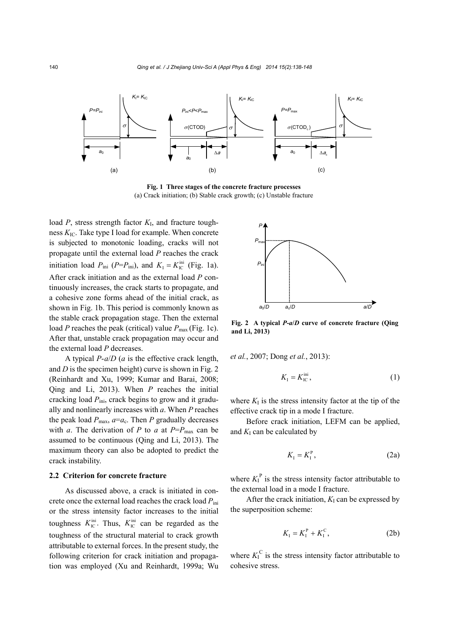

**Fig. 1 Three stages of the concrete fracture processes**  (a) Crack initiation; (b) Stable crack growth; (c) Unstable fracture

load *P*, stress strength factor *K*I, and fracture toughness *K*IC. Take type I load for example. When concrete is subjected to monotonic loading, cracks will not propagate until the external load *P* reaches the crack initiation load  $P_{\text{ini}}$  ( $P = P_{\text{ini}}$ ), and  $K_{\text{I}} = K_{\text{IC}}^{\text{ini}}$  (Fig. 1a). After crack initiation and as the external load *P* continuously increases, the crack starts to propagate, and a cohesive zone forms ahead of the initial crack, as shown in Fig. 1b. This period is commonly known as the stable crack propagation stage. Then the external load *P* reaches the peak (critical) value  $P_{\text{max}}$  (Fig. 1c). After that, unstable crack propagation may occur and the external load *P* decreases.

A typical *P*-*a*/*D* (*a* is the effective crack length, and *D* is the specimen height) curve is shown in Fig. 2 (Reinhardt and Xu, 1999; Kumar and Barai, 2008; Qing and Li, 2013). When *P* reaches the initial cracking load  $P_{\text{ini}}$ , crack begins to grow and it gradually and nonlinearly increases with *a*. When *P* reaches the peak load  $P_{\text{max}}$ ,  $a=a_c$ . Then *P* gradually decreases with *a*. The derivation of *P* to *a* at  $P=P_{\text{max}}$  can be assumed to be continuous (Qing and Li, 2013). The maximum theory can also be adopted to predict the crack instability.

## **2.2 Criterion for concrete fracture**

As discussed above, a crack is initiated in concrete once the external load reaches the crack load *P*ini or the stress intensity factor increases to the initial toughness  $K_{\text{IC}}^{\text{ini}}$ . Thus,  $K_{\text{IC}}^{\text{ini}}$  can be regarded as the toughness of the structural material to crack growth attributable to external forces. In the present study, the following criterion for crack initiation and propagation was employed (Xu and Reinhardt, 1999a; Wu



**Fig. 2 A typical** *P***-***a***/***D* **curve of concrete fracture (Qing and Li, 2013)** 

*et al.*, 2007; Dong *et al.*, 2013):

$$
K_{\rm I} = K_{\rm IC}^{\rm ini},\tag{1}
$$

where  $K<sub>I</sub>$  is the stress intensity factor at the tip of the effective crack tip in a mode I fracture.

Before crack initiation, LEFM can be applied, and  $K_I$  can be calculated by

$$
K_{\rm I} = K_{\rm I}^{\rm P} \,, \tag{2a}
$$

where  $K_I^P$  is the stress intensity factor attributable to the external load in a mode I fracture.

After the crack initiation,  $K<sub>I</sub>$  can be expressed by the superposition scheme:

$$
K_{I} = K_{I}^{P} + K_{I}^{C}, \qquad (2b)
$$

where  $K_I^C$  is the stress intensity factor attributable to cohesive stress.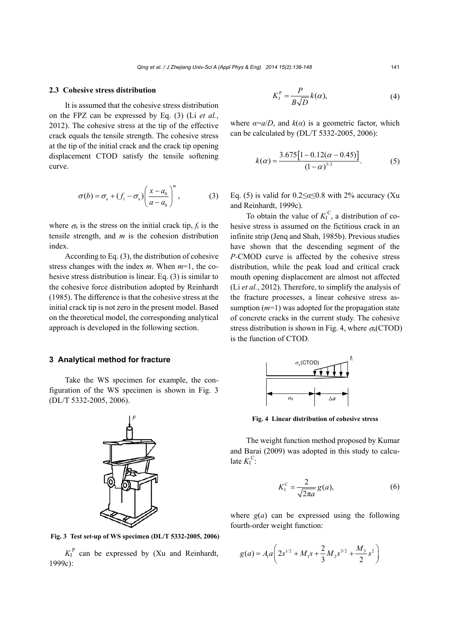#### **2.3 Cohesive stress distribution**

It is assumed that the cohesive stress distribution on the FPZ can be expressed by Eq. (3) (Li *et al.*, 2012). The cohesive stress at the tip of the effective crack equals the tensile strength. The cohesive stress at the tip of the initial crack and the crack tip opening displacement CTOD satisfy the tensile softening curve.

$$
\sigma(b) = \sigma_{\rm s} + (f_{\rm t} - \sigma_{\rm s}) \left( \frac{x - a_0}{a - a_0} \right)^m, \tag{3}
$$

where  $\sigma_s$  is the stress on the initial crack tip,  $f_t$  is the tensile strength, and *m* is the cohesion distribution index.

According to Eq. (3), the distribution of cohesive stress changes with the index *m*. When *m*=1, the cohesive stress distribution is linear. Eq. (3) is similar to the cohesive force distribution adopted by Reinhardt (1985). The difference is that the cohesive stress at the initial crack tip is not zero in the present model. Based on the theoretical model, the corresponding analytical approach is developed in the following section.

# **3 Analytical method for fracture**

Take the WS specimen for example, the configuration of the WS specimen is shown in Fig. 3 (DL/T 5332-2005, 2006).

*F*

**Fig. 3 Test set-up of WS specimen (DL/T 5332-2005, 2006)**

 $K_I^P$  can be expressed by (Xu and Reinhardt, 1999c):

$$
K_1^P = \frac{P}{B\sqrt{D}}k(\alpha),\tag{4}
$$

where  $\alpha = a/D$ , and  $k(\alpha)$  is a geometric factor, which can be calculated by (DL/T 5332-2005, 2006):

$$
k(\alpha) = \frac{3.675[1 - 0.12(\alpha - 0.45)]}{(1 - \alpha)^{3/2}}.
$$
 (5)

Eq. (5) is valid for  $0.2 \le \alpha \le 0.8$  with 2% accuracy (Xu and Reinhardt, 1999c).

To obtain the value of  $K_I^C$ , a distribution of cohesive stress is assumed on the fictitious crack in an infinite strip (Jenq and Shah, 1985b). Previous studies have shown that the descending segment of the *P-*CMOD curve is affected by the cohesive stress distribution, while the peak load and critical crack mouth opening displacement are almost not affected (Li *et al.*, 2012). Therefore, to simplify the analysis of the fracture processes, a linear cohesive stress assumption (*m*=1) was adopted for the propagation state of concrete cracks in the current study. The cohesive stress distribution is shown in Fig. 4, where  $\sigma_s$ (CTOD) is the function of CTOD.



**Fig. 4 Linear distribution of cohesive stress**

The weight function method proposed by Kumar and Barai (2009) was adopted in this study to calculate  $K_I^C$ :

$$
K_{1}^{\mathrm{C}} = \frac{2}{\sqrt{2\pi a}} g(a),\tag{6}
$$

where  $g(a)$  can be expressed using the following fourth-order weight function:

$$
g(a) = A_1 a \left( 2s^{1/2} + M_1 s + \frac{2}{3} M_2 s^{3/2} + \frac{M_3}{2} s^2 \right)
$$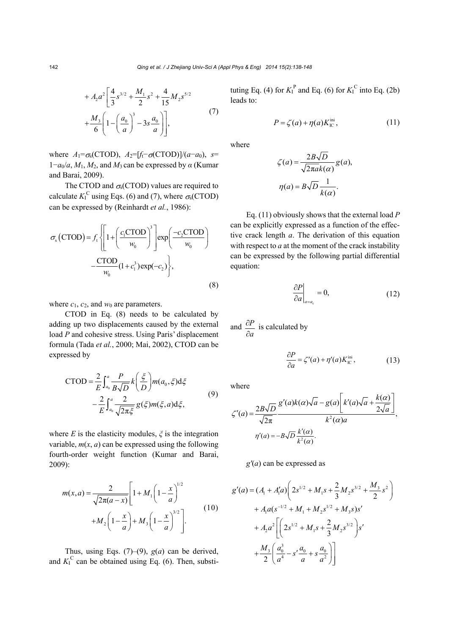$$
+ A_2 a^2 \left[ \frac{4}{3} s^{3/2} + \frac{M_1}{2} s^2 + \frac{4}{15} M_2 s^{5/2} + \frac{M_3}{6} \left( 1 - \left( \frac{a_0}{a} \right)^3 - 3s \frac{a_0}{a} \right) \right],
$$
\n(7)

where  $A_1 = \sigma_s(CTOD)$ ,  $A_2 = [f_t - \sigma(CTOD)]/(a - a_0)$ , *s*=  $1-a_0/a$ ,  $M_1$ ,  $M_2$ , and  $M_3$  can be expressed by  $\alpha$  (Kumar and Barai, 2009).

The CTOD and  $\sigma_s$ (CTOD) values are required to calculate  $K_I^C$  using Eqs. (6) and (7), where  $\sigma_s$ (CTOD) can be expressed by (Reinhardt *et al.*, 1986):

$$
\sigma_{s}(\text{CTOD}) = f_{t} \left\{ \left[ 1 + \left( \frac{c_{1}\text{CTOD}}{w_{0}} \right)^{3} \right] \exp\left( \frac{-c_{2}\text{CTOD}}{w_{0}} \right) - \frac{\text{CTOD}}{w_{0}} (1 + c_{1}^{3}) \exp(-c_{2}) \right\},\tag{8}
$$

where  $c_1$ ,  $c_2$ , and  $w_0$  are parameters.

CTOD in Eq. (8) needs to be calculated by adding up two displacements caused by the external load *P* and cohesive stress. Using Paris' displacement formula (Tada *et al.*, 2000; Mai, 2002), CTOD can be expressed by

$$
\text{CTOD} = \frac{2}{E} \int_{a_0}^{a} \frac{P}{B\sqrt{D}} k\left(\frac{\xi}{D}\right) m(a_0, \xi) d\xi
$$

$$
- \frac{2}{E} \int_{a_0}^{a} \frac{2}{\sqrt{2\pi\xi}} g(\xi) m(\xi, a) d\xi,
$$
(9)

where *E* is the elasticity modules,  $\zeta$  is the integration variable,  $m(x, a)$  can be expressed using the following fourth-order weight function (Kumar and Barai, 2009):

$$
m(x,a) = \frac{2}{\sqrt{2\pi(a-x)}} \left[ 1 + M_1 \left( 1 - \frac{x}{a} \right)^{1/2} + M_2 \left( 1 - \frac{x}{a} \right)^{3/2} \right].
$$
 (10)

Thus, using Eqs.  $(7)$ – $(9)$ ,  $g(a)$  can be derived, and  $K_I^C$  can be obtained using Eq. (6). Then, substi-

tuting Eq. (4) for  $K_I^P$  and Eq. (6) for  $K_I^C$  into Eq. (2b) leads to:

$$
P = \zeta(a) + \eta(a)K_{\rm IC}^{\rm ini},\tag{11}
$$

where

$$
\zeta(a) = \frac{2B\sqrt{D}}{\sqrt{2\pi a}k(\alpha)}g(a),
$$

$$
\eta(a) = B\sqrt{D}\frac{1}{k(\alpha)}.
$$

Eq. (11) obviously shows that the external load *P*  can be explicitly expressed as a function of the effective crack length *a*. The derivation of this equation with respect to *a* at the moment of the crack instability can be expressed by the following partial differential equation:

$$
\left. \frac{\partial P}{\partial a} \right|_{a=a_c} = 0, \tag{12}
$$

and 
$$
\frac{\partial P}{\partial a}
$$
 is calculated by

$$
\frac{\partial P}{\partial a} = \zeta'(a) + \eta'(a)K_{\rm IC}^{\rm ini},\tag{13}
$$

where

$$
\zeta'(a) = \frac{2B\sqrt{D}}{\sqrt{2\pi}} \frac{g'(a)k(\alpha)\sqrt{a} - g(a)\left[k'(a)\sqrt{a} + \frac{k(\alpha)}{2\sqrt{a}}\right]}{k^2(\alpha)a},
$$

$$
\eta'(a) = -B\sqrt{D} \frac{k'(\alpha)}{k^2(\alpha)}.
$$

*g'*(*a*) can be expressed as

$$
g'(a) = (A_1 + A'_1 a) \left( 2s^{1/2} + M_1 s + \frac{2}{3} M_2 s^{3/2} + \frac{M_3}{2} s^2 \right)
$$
  
+  $A_1 a (s^{-1/2} + M_1 + M_2 s^{1/2} + M_3 s) s'$   
+  $A_2 a^2 \left[ \left( 2s^{1/2} + M_1 s + \frac{2}{3} M_2 s^{3/2} \right) s' + \frac{M_3}{2} \left( \frac{a_0^3}{a^4} - s' \frac{a_0}{a} + s \frac{a_0}{a^2} \right) \right]$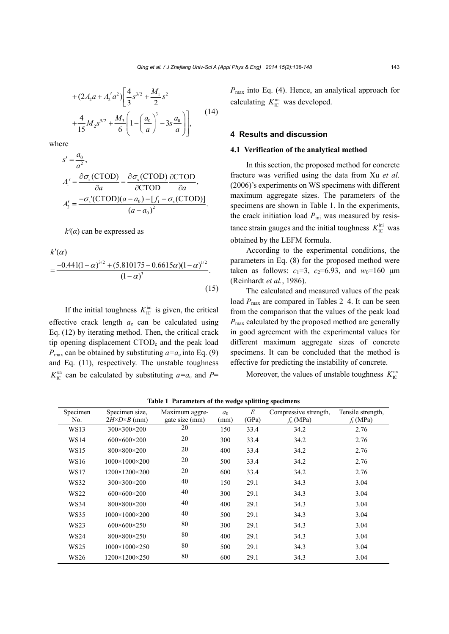$$
+ (2A_2a + A'_2a^2) \left[ \frac{4}{3} s^{3/2} + \frac{M_1}{2} s^2 + \frac{4}{15} M_2 s^{5/2} + \frac{M_3}{6} \left( 1 - \left( \frac{a_0}{a} \right)^3 - 3s \frac{a_0}{a} \right) \right],
$$
 (14)

where

$$
s' = \frac{a_0}{a^2},
$$
  
\n
$$
A'_1 = \frac{\partial \sigma_s (C\text{TOP})}{\partial a} = \frac{\partial \sigma_s (C\text{TOP})}{\partial C\text{TOP}} \frac{\partial C\text{TOP}}{\partial a},
$$
  
\n
$$
A'_2 = \frac{-\sigma_s'(C\text{TOP})(a - a_0) - [f_t - \sigma_s(C\text{TOP})]}{(a - a_0)^2}.
$$

*k'*(*α*) can be expressed as

 $k'(\alpha)$ 

$$
=\frac{-0.441(1-\alpha)^{3/2} + (5.810175 - 0.6615\alpha)(1-\alpha)^{1/2}}{(1-\alpha)^3}.
$$
\n(15)

If the initial toughness  $K_{\text{IC}}^{\text{ini}}$  is given, the critical effective crack length *a*c can be calculated using Eq. (12) by iterating method. Then, the critical crack tip opening displacement CTOD<sub>c</sub> and the peak load  $P_{\text{max}}$  can be obtained by substituting  $a = a_c$  into Eq. (9) and Eq. (11), respectively. The unstable toughness  $K_{\text{IC}}^{\text{un}}$  can be calculated by substituting  $a=a_{\text{c}}$  and P= *P*max into Eq. (4). Hence, an analytical approach for calculating  $K_{\text{IC}}^{\text{un}}$  was developed.

## **4 Results and discussion**

## **4.1 Verification of the analytical method**

In this section, the proposed method for concrete fracture was verified using the data from Xu *et al.* (2006)'s experiments on WS specimens with different maximum aggregate sizes. The parameters of the specimens are shown in Table 1. In the experiments, the crack initiation load  $P_{\text{ini}}$  was measured by resistance strain gauges and the initial toughness  $K_{\text{IC}}^{\text{ini}}$  was obtained by the LEFM formula.

According to the experimental conditions, the parameters in Eq. (8) for the proposed method were taken as follows:  $c_1=3$ ,  $c_2=6.93$ , and  $w_0=160$   $\mu$ m (Reinhardt *et al.*, 1986).

The calculated and measured values of the peak load  $P_{\text{max}}$  are compared in Tables 2–4. It can be seen from the comparison that the values of the peak load *P*max calculated by the proposed method are generally in good agreement with the experimental values for different maximum aggregate sizes of concrete specimens. It can be concluded that the method is effective for predicting the instability of concrete.

Moreover, the values of unstable toughness  $K_{\text{IC}}^{\text{un}}$ 

**Table 1 Parameters of the wedge splitting specimens** 

| Specimen    | Specimen size,                | Maximum aggre- | a <sub>0</sub> | E     | Compressive strength. | Tensile strength. |
|-------------|-------------------------------|----------------|----------------|-------|-----------------------|-------------------|
| No.         | $2H \times D \times B$ (mm)   | gate size (mm) | (mm)           | (GPa) | $f_c$ (MPa)           | $f_t(MPa)$        |
| <b>WS13</b> | $300\times300\times200$       | 20             | 150            | 33.4  | 34.2                  | 2.76              |
| <b>WS14</b> | $600\times600\times200$       | 20             | 300            | 33.4  | 34.2                  | 2.76              |
| WS15        | $800 \times 800 \times 200$   | 20             | 400            | 33.4  | 34.2                  | 2.76              |
| WS16        | $1000 \times 1000 \times 200$ | 20             | 500            | 33.4  | 34.2                  | 2.76              |
| WS17        | $1200 \times 1200 \times 200$ | 20             | 600            | 33.4  | 34.2                  | 2.76              |
| <b>WS32</b> | $300\times300\times200$       | 40             | 150            | 29.1  | 34.3                  | 3.04              |
| <b>WS22</b> | $600\times600\times200$       | 40             | 300            | 29.1  | 34.3                  | 3.04              |
| <b>WS34</b> | 800×800×200                   | 40             | 400            | 29.1  | 34.3                  | 3.04              |
| <b>WS35</b> | $1000 \times 1000 \times 200$ | 40             | 500            | 29.1  | 34.3                  | 3.04              |
| <b>WS23</b> | $600\times600\times250$       | 80             | 300            | 29.1  | 34.3                  | 3.04              |
| <b>WS24</b> | 800×800×250                   | 80             | 400            | 29.1  | 34.3                  | 3.04              |
| <b>WS25</b> | $1000 \times 1000 \times 250$ | 80             | 500            | 29.1  | 34.3                  | 3.04              |
| <b>WS26</b> | $1200 \times 1200 \times 250$ | 80             | 600            | 29.1  | 34.3                  | 3.04              |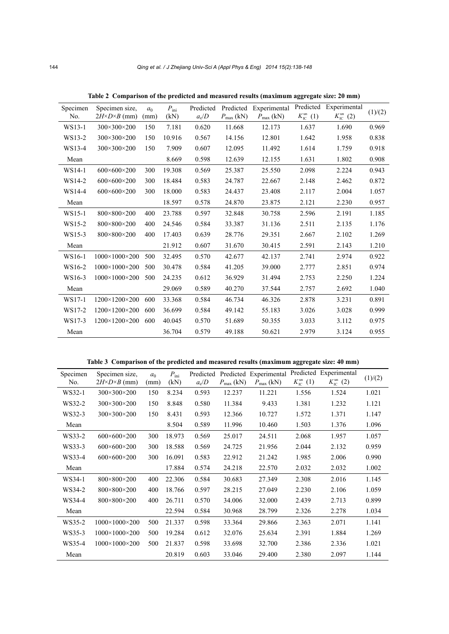| Specimen<br>No. | Specimen size.                | a <sub>0</sub> | $P_{\text{ini}}$ | Predicted | Predicted             | Experimental          | Predicted                      | Experimental                   | (1)/(2) |
|-----------------|-------------------------------|----------------|------------------|-----------|-----------------------|-----------------------|--------------------------------|--------------------------------|---------|
|                 | $2H \times D \times B$ (mm)   | (mm)           | (kN)             | $a_c/D$   | $P_{\text{max}}$ (kN) | $P_{\text{max}}$ (kN) | $K_{\text{IC}}^{\text{un}}(1)$ | $K_{\text{IC}}^{\text{un}}(2)$ |         |
| WS13-1          | $300 \times 300 \times 200$   | 150            | 7.181            | 0.620     | 11.668                | 12.173                | 1.637                          | 1.690                          | 0.969   |
| WS13-2          | $300 \times 300 \times 200$   | 150            | 10.916           | 0.567     | 14.156                | 12.801                | 1.642                          | 1.958                          | 0.838   |
| WS13-4          | $300 \times 300 \times 200$   | 150            | 7.909            | 0.607     | 12.095                | 11.492                | 1.614                          | 1.759                          | 0.918   |
| Mean            |                               |                | 8.669            | 0.598     | 12.639                | 12.155                | 1.631                          | 1.802                          | 0.908   |
| $WS14-1$        | $600\times600\times200$       | 300            | 19.308           | 0.569     | 25.387                | 25.550                | 2.098                          | 2.224                          | 0.943   |
| WS14-2          | $600\times600\times200$       | 300            | 18.484           | 0.583     | 24.787                | 22.667                | 2.148                          | 2.462                          | 0.872   |
| WS14-4          | $600\times600\times200$       | 300            | 18.000           | 0.583     | 24.437                | 23.408                | 2.117                          | 2.004                          | 1.057   |
| Mean            |                               |                | 18.597           | 0.578     | 24.870                | 23.875                | 2.121                          | 2.230                          | 0.957   |
| WS15-1          | 800×800×200                   | 400            | 23.788           | 0.597     | 32.848                | 30.758                | 2.596                          | 2.191                          | 1.185   |
| WS15-2          | 800×800×200                   | 400            | 24.546           | 0.584     | 33.387                | 31.136                | 2.511                          | 2.135                          | 1.176   |
| WS15-3          | 800×800×200                   | 400            | 17.403           | 0.639     | 28.776                | 29.351                | 2.667                          | 2.102                          | 1.269   |
| Mean            |                               |                | 21.912           | 0.607     | 31.670                | 30.415                | 2.591                          | 2.143                          | 1.210   |
| WS16-1          | $1000 \times 1000 \times 200$ | 500            | 32.495           | 0.570     | 42.677                | 42.137                | 2.741                          | 2.974                          | 0.922   |
| WS16-2          | $1000 \times 1000 \times 200$ | 500            | 30.478           | 0.584     | 41.205                | 39.000                | 2.777                          | 2.851                          | 0.974   |
| WS16-3          | $1000 \times 1000 \times 200$ | 500            | 24.235           | 0.612     | 36.929                | 31.494                | 2.753                          | 2.250                          | 1.224   |
| Mean            |                               |                | 29.069           | 0.589     | 40.270                | 37.544                | 2.757                          | 2.692                          | 1.040   |
| $WS17-1$        | $1200 \times 1200 \times 200$ | 600            | 33.368           | 0.584     | 46.734                | 46.326                | 2.878                          | 3.231                          | 0.891   |
| WS17-2          | $1200 \times 1200 \times 200$ | 600            | 36.699           | 0.584     | 49.142                | 55.183                | 3.026                          | 3.028                          | 0.999   |
| WS17-3          | 1200×1200×200                 | 600            | 40.045           | 0.570     | 51.689                | 50.355                | 3.033                          | 3.112                          | 0.975   |
| Mean            |                               |                | 36.704           | 0.579     | 49.188                | 50.621                | 2.979                          | 3.124                          | 0.955   |

**Table 2 Comparison of the predicted and measured results (maximum aggregate size: 20 mm)** 

**Table 3 Comparison of the predicted and measured results (maximum aggregate size: 40 mm)** 

| Specimen | Specimen size.              | a <sub>0</sub> | $P_{\text{ini}}$ | Predicted |                       | Predicted Experimental |                                | Predicted Experimental         | (1)/(2) |
|----------|-----------------------------|----------------|------------------|-----------|-----------------------|------------------------|--------------------------------|--------------------------------|---------|
| No.      | $2H\times D\times B$ (mm)   | (mm)           | (kN)             | $a_c/D$   | $P_{\text{max}}$ (kN) | $P_{\text{max}}$ (kN)  | $K_{\text{IC}}^{\text{un}}(1)$ | $K_{\text{IC}}^{\text{un}}(2)$ |         |
| WS32-1   | $300 \times 300 \times 200$ | 150            | 8.234            | 0.593     | 12.237                | 11.221                 | 1.556                          | 1.524                          | 1.021   |
| WS32-2   | $300 \times 300 \times 200$ | 150            | 8.848            | 0.580     | 11.384                | 9.433                  | 1.381                          | 1.232                          | 1.121   |
| WS32-3   | $300 \times 300 \times 200$ | 150            | 8.431            | 0.593     | 12.366                | 10.727                 | 1.572                          | 1.371                          | 1.147   |
| Mean     |                             |                | 8.504            | 0.589     | 11.996                | 10.460                 | 1.503                          | 1.376                          | 1.096   |
| WS33-2   | $600\times600\times200$     | 300            | 18.973           | 0.569     | 25.017                | 24.511                 | 2.068                          | 1.957                          | 1.057   |
| WS33-3   | $600\times600\times200$     | 300            | 18.588           | 0.569     | 24.725                | 21.956                 | 2.044                          | 2.132                          | 0.959   |
| WS33-4   | $600\times600\times200$     | 300            | 16.091           | 0.583     | 22.912                | 21.242                 | 1.985                          | 2.006                          | 0.990   |
| Mean     |                             |                | 17.884           | 0.574     | 24.218                | 22.570                 | 2.032                          | 2.032                          | 1.002   |
| WS34-1   | 800×800×200                 | 400            | 22.306           | 0.584     | 30.683                | 27.349                 | 2.308                          | 2.016                          | 1.145   |
| WS34-2   | 800×800×200                 | 400            | 18.766           | 0.597     | 28.215                | 27.049                 | 2.230                          | 2.106                          | 1.059   |
| WS34-4   | 800×800×200                 | 400            | 26.711           | 0.570     | 34.006                | 32.000                 | 2.439                          | 2.713                          | 0.899   |
| Mean     |                             |                | 22.594           | 0.584     | 30.968                | 28.799                 | 2.326                          | 2.278                          | 1.034   |
| WS35-2   | $1000\times1000\times200$   | 500            | 21.337           | 0.598     | 33.364                | 29.866                 | 2.363                          | 2.071                          | 1.141   |
| WS35-3   | $1000\times1000\times200$   | 500            | 19.284           | 0.612     | 32.076                | 25.634                 | 2.391                          | 1.884                          | 1.269   |
| WS35-4   | $1000\times1000\times200$   | 500            | 21.837           | 0.598     | 33.698                | 32.700                 | 2.386                          | 2.336                          | 1.021   |
| Mean     |                             |                | 20.819           | 0.603     | 33.046                | 29.400                 | 2.380                          | 2.097                          | 1.144   |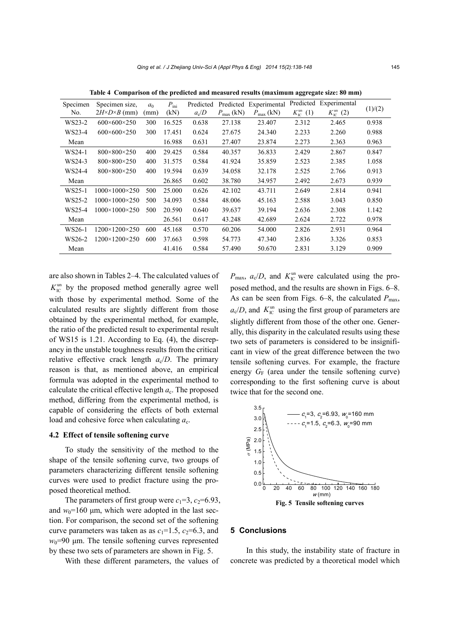| Specimen<br>No. | Specimen size,<br>$2H\times D\times B$ (mm) | a <sub>0</sub><br>(mm) | $P_{\text{ini}}$<br>(kN) | Predicted<br>$a_c/D$ | $P_{\text{max}}$ (kN) | Predicted Experimental<br>$P_{\text{max}}$ (kN) | Predicted<br>$K_{\text{IC}}^{\text{un}}(1)$ | Experimental<br>$K_{\text{IC}}^{\text{un}}(2)$ | (1)/(2) |
|-----------------|---------------------------------------------|------------------------|--------------------------|----------------------|-----------------------|-------------------------------------------------|---------------------------------------------|------------------------------------------------|---------|
| WS23-2          | $600 \times 600 \times 250$                 | 300                    | 16.525                   | 0.638                | 27.138                | 23.407                                          | 2.312                                       | 2.465                                          | 0.938   |
| WS23-4          | $600\times600\times250$                     | 300                    | 17.451                   | 0.624                | 27.675                | 24.340                                          | 2.233                                       | 2.260                                          | 0.988   |
| Mean            |                                             |                        | 16.988                   | 0.631                | 27.407                | 23.874                                          | 2.273                                       | 2.363                                          | 0.963   |
| WS24-1          | $800 \times 800 \times 250$                 | 400                    | 29.425                   | 0.584                | 40.357                | 36.833                                          | 2.429                                       | 2.867                                          | 0.847   |
| WS24-3          | $800 \times 800 \times 250$                 | 400                    | 31.575                   | 0.584                | 41.924                | 35.859                                          | 2.523                                       | 2.385                                          | 1.058   |
| WS24-4          | $800 \times 800 \times 250$                 | 400                    | 19.594                   | 0.639                | 34.058                | 32.178                                          | 2.525                                       | 2.766                                          | 0.913   |
| Mean            |                                             |                        | 26.865                   | 0.602                | 38.780                | 34.957                                          | 2.492                                       | 2.673                                          | 0.939   |
| WS25-1          | $1000 \times 1000 \times 250$               | 500                    | 25.000                   | 0.626                | 42.102                | 43.711                                          | 2.649                                       | 2.814                                          | 0.941   |
| WS25-2          | $1000\times1000\times250$                   | 500                    | 34.093                   | 0.584                | 48.006                | 45.163                                          | 2.588                                       | 3.043                                          | 0.850   |
| WS25-4          | $1000\times1000\times250$                   | 500                    | 20.590                   | 0.640                | 39.637                | 39.194                                          | 2.636                                       | 2.308                                          | 1.142   |
| Mean            |                                             |                        | 26.561                   | 0.617                | 43.248                | 42.689                                          | 2.624                                       | 2.722                                          | 0.978   |
| WS26-1          | $1200 \times 1200 \times 250$               | 600                    | 45.168                   | 0.570                | 60.206                | 54.000                                          | 2.826                                       | 2.931                                          | 0.964   |
| WS26-2          | $1200\times1200\times250$                   | 600                    | 37.663                   | 0.598                | 54.773                | 47.340                                          | 2.836                                       | 3.326                                          | 0.853   |
| Mean            |                                             |                        | 41.416                   | 0.584                | 57.490                | 50.670                                          | 2.831                                       | 3.129                                          | 0.909   |

**Table 4 Comparison of the predicted and measured results (maximum aggregate size: 80 mm)** 

are also shown in Tables 2–4. The calculated values of  $K_{\text{IC}}^{\text{un}}$  by the proposed method generally agree well with those by experimental method. Some of the calculated results are slightly different from those obtained by the experimental method, for example, the ratio of the predicted result to experimental result of WS15 is 1.21. According to Eq. (4), the discrepancy in the unstable toughness results from the critical relative effective crack length  $a_c/D$ . The primary reason is that, as mentioned above, an empirical formula was adopted in the experimental method to calculate the critical effective length *a*c. The proposed method, differing from the experimental method, is capable of considering the effects of both external load and cohesive force when calculating  $a_c$ .

#### **4.2 Effect of tensile softening curve**

To study the sensitivity of the method to the shape of the tensile softening curve, two groups of parameters characterizing different tensile softening curves were used to predict fracture using the proposed theoretical method.

The parameters of first group were  $c_1=3$ ,  $c_2=6.93$ , and  $w_0$ =160  $\mu$ m, which were adopted in the last section. For comparison, the second set of the softening curve parameters was taken as as  $c_1=1.5$ ,  $c_2=6.3$ , and  $w_0$ =90 um. The tensile softening curves represented by these two sets of parameters are shown in Fig. 5.

With these different parameters, the values of

 $P_{\text{max}}$ ,  $a_c/D$ , and  $K_{\text{IC}}^{\text{un}}$  were calculated using the proposed method, and the results are shown in Figs. 6–8. As can be seen from Figs. 6–8, the calculated  $P_{\text{max}}$ ,  $a_c/D$ , and  $K_{\text{IC}}^{\text{un}}$  using the first group of parameters are slightly different from those of the other one. Generally, this disparity in the calculated results using these two sets of parameters is considered to be insignificant in view of the great difference between the two tensile softening curves. For example, the fracture energy  $G_F$  (area under the tensile softening curve) corresponding to the first softening curve is about twice that for the second one.



## **5 Conclusions**

In this study, the instability state of fracture in concrete was predicted by a theoretical model which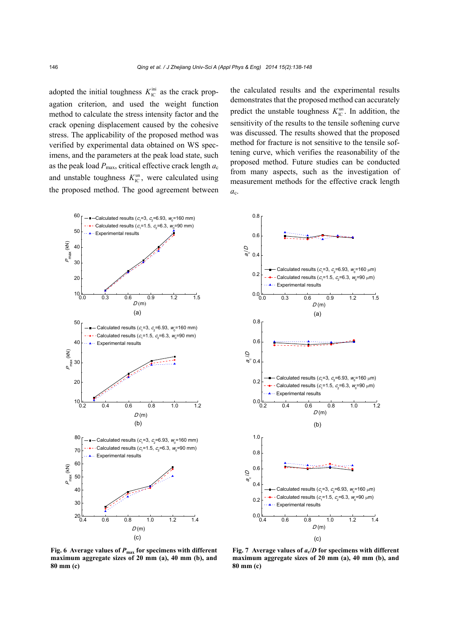adopted the initial toughness  $K_{\text{IC}}^{\text{ini}}$  as the crack propagation criterion, and used the weight function method to calculate the stress intensity factor and the crack opening displacement caused by the cohesive stress. The applicability of the proposed method was verified by experimental data obtained on WS specimens, and the parameters at the peak load state, such as the peak load  $P_{\text{max}}$ , critical effective crack length  $a_c$ and unstable toughness  $K_{\text{IC}}^{\text{un}}$ , were calculated using the proposed method. The good agreement between

the calculated results and the experimental results demonstrates that the proposed method can accurately predict the unstable toughness  $K_{\text{IC}}^{\text{un}}$ . In addition, the sensitivity of the results to the tensile softening curve was discussed. The results showed that the proposed method for fracture is not sensitive to the tensile softening curve, which verifies the reasonability of the proposed method. Future studies can be conducted from many aspects, such as the investigation of measurement methods for the effective crack length  $a_{c}$ .





**Fig. 6 Average values of** *P***max for specimens with different maximum aggregate sizes of 20 mm (a), 40 mm (b), and 80 mm (c)** 

**Fig. 7** Average values of  $a_c/D$  for specimens with different **maximum aggregate sizes of 20 mm (a), 40 mm (b), and 80 mm (c)**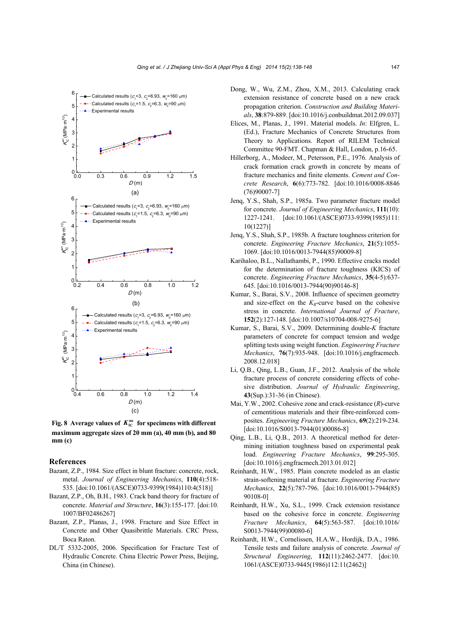

**Fig. 8** Average values of  $K_{\text{IC}}^{\text{un}}$  for specimens with different **maximum aggregate sizes of 20 mm (a), 40 mm (b), and 80 mm (c)** 

#### **References**

- Bazant, Z.P., 1984. Size effect in blunt fracture: concrete, rock, metal. *Journal of Engineering Mechanics*, **110**(4):518- 535. [doi:10.1061/(ASCE)0733-9399(1984)110:4(518)]
- Bazant, Z.P., Oh, B.H., 1983. Crack band theory for fracture of concrete. *Material and Structure*, **16**(3):155-177. [doi:10. 1007/BF02486267]
- Bazant, Z.P., Planas, J., 1998. Fracture and Size Effect in Concrete and Other Quasibrittle Materials. CRC Press, Boca Raton.
- DL/T 5332-2005, 2006. Specification for Fracture Test of Hydraulic Concrete. China Electric Power Press, Beijing, China (in Chinese).
- Dong, W., Wu, Z.M., Zhou, X.M., 2013. Calculating crack extension resistance of concrete based on a new crack propagation criterion. *Construction and Building Materials*, **38**:879-889. [doi:10.1016/j.conbuildmat.2012.09.037]
- Elices, M., Planas, J., 1991. Material models. *In*: Elfgren, L. (Ed.), Fracture Mechanics of Concrete Structures from Theory to Applications. Report of RILEM Technical Committee 90-FMT. Chapman & Hall, London, p.16-65.
- Hillerborg, A., Modeer, M., Petersson, P.E., 1976. Analysis of crack formation crack growth in concrete by means of fracture mechanics and finite elements. *Cement and Concrete Research*, **6**(6):773-782. [doi:10.1016/0008-8846 (76)90007-7]
- Jenq, Y.S., Shah, S.P., 1985a. Two parameter fracture model for concrete. *Journal of Engineering Mechanics*, **111**(10): 1227-1241. [doi:10.1061/(ASCE)0733-9399(1985)111: 10(1227)]
- Jenq, Y.S., Shah, S.P., 1985b. A fracture toughness criterion for concrete. *Engineering Fracture Mechanics*, **21**(5):1055- 1069. [doi:10.1016/0013-7944(85)90009-8]
- Karihaloo, B.L., Nallathambi, P., 1990. Effective cracks model for the determination of fracture toughness (KICS) of concrete. *Engineering Fracture Mechanics*, **35**(4-5):637- 645. [doi:10.1016/0013-7944(90)90146-8]
- Kumar, S., Barai, S.V., 2008. Influence of specimen geometry and size-effect on the  $K_R$ -curve based on the cohesive stress in concrete. *International Journal of Fracture*, **152**(2):127-148. [doi:10.1007/s10704-008-9275-6]
- Kumar, S., Barai, S.V., 2009. Determining double-*K* fracture parameters of concrete for compact tension and wedge splitting tests using weight function. *Engineering Fracture Mechanics*, **76**(7):935-948. [doi:10.1016/j.engfracmech. 2008.12.018]
- Li, Q.B., Qing, L.B., Guan, J.F., 2012. Analysis of the whole fracture process of concrete considering effects of cohesive distribution. *Journal of Hydraulic Engineering*, **43**(Sup.):31-36 (in Chinese).
- Mai, Y.W., 2002. Cohesive zone and crack-resistance (*R*)-curve of cementitious materials and their fibre-reinforced composites. *Engineering Fracture Mechanics*, **69**(2):219-234. [doi:10.1016/S0013-7944(01)00086-8]
- Qing, L.B., Li, Q.B., 2013. A theoretical method for determining initiation toughness based on experimental peak load. *Engineering Fracture Mechanics*, **99**:295-305. [doi:10.1016/j.engfracmech.2013.01.012]
- Reinhardt, H.W., 1985. Plain concrete modeled as an elastic strain-softening material at fracture. *Engineering Fracture Mechanics*, **22**(5):787-796. [doi:10.1016/0013-7944(85) 90108-0]
- Reinhardt, H.W., Xu, S.L., 1999. Crack extension resistance based on the cohesive force in concrete. *Engineering Fracture Mechanics*, **64**(5):563-587. [doi:10.1016/ S0013-7944(99)00080-6]
- Reinhardt, H.W., Cornelissen, H.A.W., Hordijk, D.A., 1986. Tensile tests and failure analysis of concrete. *Journal of Structural Engineering*, **112**(11):2462-2477. [doi:10. 1061/(ASCE)0733-9445(1986)112:11(2462)]